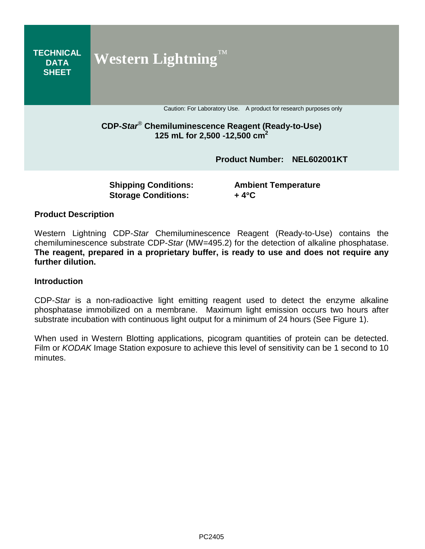

#### Western Lightning CDP-*Star* Chemiluminescence Reagent (Ready-to-Use) contains the chemiluminescence substrate CDP-*Star* (MW=495.2) for the detection of alkaline phosphatase. **The reagent, prepared in a proprietary buffer, is ready to use and does not require any further dilution.**

#### **Introduction**

CDP-*Star* is a non-radioactive light emitting reagent used to detect the enzyme alkaline phosphatase immobilized on a membrane. Maximum light emission occurs two hours after substrate incubation with continuous light output for a minimum of 24 hours (See Figure 1).

When used in Western Blotting applications, picogram quantities of protein can be detected. Film or *KODAK* Image Station exposure to achieve this level of sensitivity can be 1 second to 10 minutes.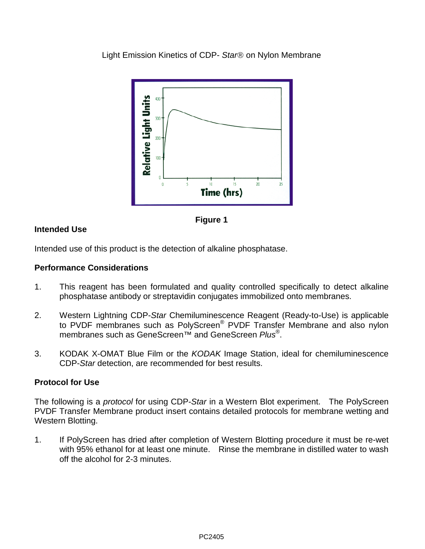Light Emission Kinetics of CDP- Star<sup>®</sup> on Nylon Membrane





# **Intended Use**

Intended use of this product is the detection of alkaline phosphatase.

## **Performance Considerations**

- 1. This reagent has been formulated and quality controlled specifically to detect alkaline phosphatase antibody or streptavidin conjugates immobilized onto membranes.
- 2. Western Lightning CDP-*Star* Chemiluminescence Reagent (Ready-to-Use) is applicable to PVDF membranes such as PolyScreen® PVDF Transfer Membrane and also nylon membranes such as GeneScreen™ and GeneScreen *Plus*®.
- 3. KODAK X-OMAT Blue Film or the *KODAK* Image Station, ideal for chemiluminescence CDP-*Star* detection, are recommended for best results.

## **Protocol for Use**

The following is a *protocol* for using CDP-*Star* in a Western Blot experiment. The PolyScreen PVDF Transfer Membrane product insert contains detailed protocols for membrane wetting and Western Blotting.

1. If PolyScreen has dried after completion of Western Blotting procedure it must be re-wet with 95% ethanol for at least one minute. Rinse the membrane in distilled water to wash off the alcohol for 2-3 minutes.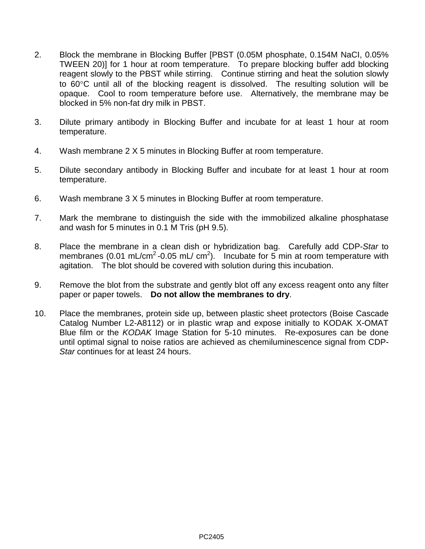- 2. Block the membrane in Blocking Buffer [PBST (0.05M phosphate, 0.154M NaCI, 0.05% TWEEN 20)] for 1 hour at room temperature. To prepare blocking buffer add blocking reagent slowly to the PBST while stirring. Continue stirring and heat the solution slowly to 60°C until all of the blocking reagent is dissolved. The resulting solution will be opaque. Cool to room temperature before use. Alternatively, the membrane may be blocked in 5% non-fat dry milk in PBST.
- 3. Dilute primary antibody in Blocking Buffer and incubate for at least 1 hour at room temperature.
- 4. Wash membrane 2 X 5 minutes in Blocking Buffer at room temperature.
- 5. Dilute secondary antibody in Blocking Buffer and incubate for at least 1 hour at room temperature.
- 6. Wash membrane 3 X 5 minutes in Blocking Buffer at room temperature.
- 7. Mark the membrane to distinguish the side with the immobilized alkaline phosphatase and wash for 5 minutes in 0.1 M Tris (pH 9.5).
- 8. Place the membrane in a clean dish or hybridization bag. Carefully add CDP-*Star* to membranes (0.01 mL/cm<sup>2</sup> -0.05 mL/ cm<sup>2</sup>). Incubate for 5 min at room temperature with agitation. The blot should be covered with solution during this incubation.
- 9. Remove the blot from the substrate and gently blot off any excess reagent onto any filter paper or paper towels. **Do not allow the membranes to dry**.
- 10. Place the membranes, protein side up, between plastic sheet protectors (Boise Cascade Catalog Number L2-A8112) or in plastic wrap and expose initially to KODAK X-OMAT Blue film or the *KODAK* Image Station for 5-10 minutes. Re-exposures can be done until optimal signal to noise ratios are achieved as chemiluminescence signal from CDP-*Star* continues for at least 24 hours.